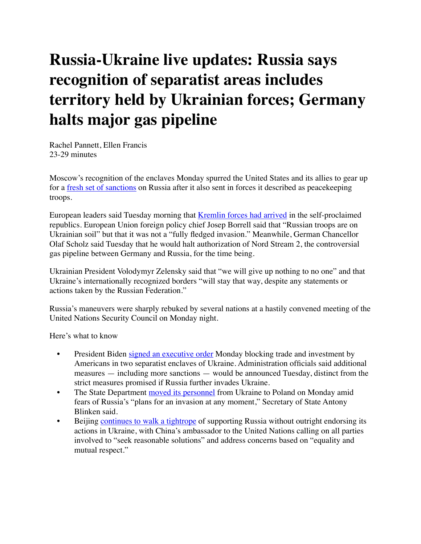# **Russia-Ukraine live updates: Russia says recognition of separatist areas includes territory held by Ukrainian forces; Germany halts major gas pipeline**

Rachel Pannett, Ellen Francis 23-29 minutes

Moscow's recognition of the enclaves Monday spurred the United States and its allies to gear up for a [fresh set of sanctions](https://www.washingtonpost.com/politics/2022/02/21/biden-russia-ukraine-putin/?itid=lk_inline_manual_5) on Russia after it also sent in forces it described as peacekeeping troops.

European leaders said Tuesday morning that [Kremlin forces had arrived](https://www.washingtonpost.com/world/2022/02/22/russia-ukraine-updates/#link-KDTQH5PXSRCQPNMXVIZEBOCCBU?itid=lk_inline_manual_8) in the self-proclaimed republics. European Union foreign policy chief Josep Borrell said that "Russian troops are on Ukrainian soil" but that it was not a "fully fledged invasion." Meanwhile, German Chancellor Olaf Scholz said Tuesday that he would halt authorization of Nord Stream 2, the controversial gas pipeline between Germany and Russia, for the time being.

Ukrainian President Volodymyr Zelensky said that "we will give up nothing to no one" and that Ukraine's internationally recognized borders "will stay that way, despite any statements or actions taken by the Russian Federation."

Russia's maneuvers were sharply rebuked by several nations at a hastily convened meeting of the United Nations Security Council on Monday night.

Here's what to know

- President Biden [signed an executive order](https://www.washingtonpost.com/world/2022/02/21/russia-ukraine-updates/#link-EWK7UYXZQ5GAJAKJ7MVF7WD534) Monday blocking trade and investment by Americans in two separatist enclaves of Ukraine. Administration officials said additional measures — including more sanctions — would be announced Tuesday, distinct from the strict measures promised if Russia further invades Ukraine.
- The State Department [moved its personnel](https://www.washingtonpost.com/world/2022/02/21/russia-ukraine-updates/#link-OQGTXPG2DRGZBB7FS5XIJIWGIQ) from Ukraine to Poland on Monday amid fears of Russia's "plans for an invasion at any moment," Secretary of State Antony Blinken said.
- Beijing [continues to walk a tightrope](https://www.washingtonpost.com/world/2022/02/22/china-russia-ukraine-reaction/) of supporting Russia without outright endorsing its actions in Ukraine, with China's ambassador to the United Nations calling on all parties involved to "seek reasonable solutions" and address concerns based on "equality and mutual respect."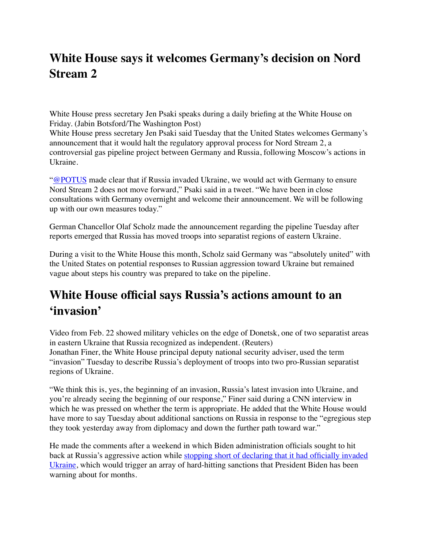# **White House says it welcomes Germany's decision on Nord Stream 2**

White House press secretary Jen Psaki speaks during a daily briefing at the White House on Friday. (Jabin Botsford/The Washington Post)

White House press secretary Jen Psaki said Tuesday that the United States welcomes Germany's announcement that it would halt the regulatory approval process for Nord Stream 2, a controversial gas pipeline project between Germany and Russia, following Moscow's actions in Ukraine.

["@POTUS](https://twitter.com/POTUS) made clear that if Russia invaded Ukraine, we would act with Germany to ensure Nord Stream 2 does not move forward," Psaki said in a tweet. "We have been in close consultations with Germany overnight and welcome their announcement. We will be following up with our own measures today."

German Chancellor Olaf Scholz made the announcement regarding the pipeline Tuesday after reports emerged that Russia has moved troops into separatist regions of eastern Ukraine.

During a visit to the White House this month, Scholz said Germany was "absolutely united" with the United States on potential responses to Russian aggression toward Ukraine but remained vague about steps his country was prepared to take on the pipeline.

#### **White House official says Russia's actions amount to an 'invasion'**

Video from Feb. 22 showed military vehicles on the edge of Donetsk, one of two separatist areas in eastern Ukraine that Russia recognized as independent. (Reuters) Jonathan Finer, the White House principal deputy national security adviser, used the term "invasion" Tuesday to describe Russia's deployment of troops into two pro-Russian separatist regions of Ukraine.

"We think this is, yes, the beginning of an invasion, Russia's latest invasion into Ukraine, and you're already seeing the beginning of our response," Finer said during a CNN interview in which he was pressed on whether the term is appropriate. He added that the White House would have more to say Tuesday about additional sanctions on Russia in response to the "egregious step they took yesterday away from diplomacy and down the further path toward war."

He made the comments after a weekend in which Biden administration officials sought to hit back at Russia's aggressive action while [stopping short of declaring that it had officially invaded](https://www.washingtonpost.com/politics/2022/02/21/biden-russia-ukraine-putin/?itid=lk_inline_manual_22)  [Ukraine,](https://www.washingtonpost.com/politics/2022/02/21/biden-russia-ukraine-putin/?itid=lk_inline_manual_22) which would trigger an array of hard-hitting sanctions that President Biden has been warning about for months.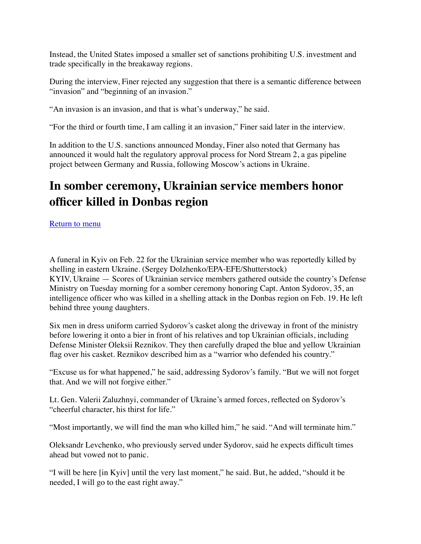Instead, the United States imposed a smaller set of sanctions prohibiting U.S. investment and trade specifically in the breakaway regions.

During the interview, Finer rejected any suggestion that there is a semantic difference between "invasion" and "beginning of an invasion."

"An invasion is an invasion, and that is what's underway," he said.

"For the third or fourth time, I am calling it an invasion," Finer said later in the interview.

In addition to the U.S. sanctions announced Monday, Finer also noted that Germany has announced it would halt the regulatory approval process for Nord Stream 2, a gas pipeline project between Germany and Russia, following Moscow's actions in Ukraine.

# **In somber ceremony, Ukrainian service members honor officer killed in Donbas region**

[Return to menu](about:reader?url=https%3A%2F%2Fwww.washingtonpost.com%2Fworld%2F2022%2F02%2F22%2Frussia-ukraine-updates%2F%23secondary-nav)

A funeral in Kyiv on Feb. 22 for the Ukrainian service member who was reportedly killed by shelling in eastern Ukraine. (Sergey Dolzhenko/EPA-EFE/Shutterstock) KYIV, Ukraine — Scores of Ukrainian service members gathered outside the country's Defense Ministry on Tuesday morning for a somber ceremony honoring Capt. Anton Sydorov, 35, an intelligence officer who was killed in a shelling attack in the Donbas region on Feb. 19. He left behind three young daughters.

Six men in dress uniform carried Sydorov's casket along the driveway in front of the ministry before lowering it onto a bier in front of his relatives and top Ukrainian officials, including Defense Minister Oleksii Reznikov. They then carefully draped the blue and yellow Ukrainian flag over his casket. Reznikov described him as a "warrior who defended his country."

"Excuse us for what happened," he said, addressing Sydorov's family. "But we will not forget that. And we will not forgive either."

Lt. Gen. Valerii Zaluzhnyi, commander of Ukraine's armed forces, reflected on Sydorov's "cheerful character, his thirst for life."

"Most importantly, we will find the man who killed him," he said. "And will terminate him."

Oleksandr Levchenko, who previously served under Sydorov, said he expects difficult times ahead but vowed not to panic.

"I will be here [in Kyiv] until the very last moment," he said. But, he added, "should it be needed, I will go to the east right away."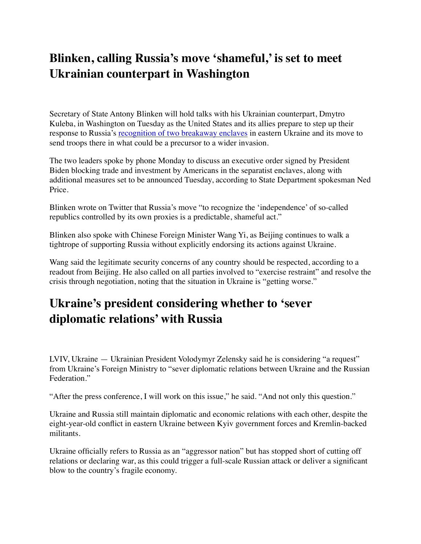# **Blinken, calling Russia's move 'shameful,' is set to meet Ukrainian counterpart in Washington**

Secretary of State Antony Blinken will hold talks with his Ukrainian counterpart, Dmytro Kuleba, in Washington on Tuesday as the United States and its allies prepare to step up their response to Russia's [recognition of two breakaway enclaves](https://www.washingtonpost.com/politics/2022/02/21/biden-russia-ukraine-putin/?itid=lk_inline_manual_39) in eastern Ukraine and its move to send troops there in what could be a precursor to a wider invasion.

The two leaders spoke by phone Monday to discuss an executive order signed by President Biden blocking trade and investment by Americans in the separatist enclaves, along with additional measures set to be announced Tuesday, according to State Department spokesman Ned Price.

Blinken wrote on Twitter that Russia's move "to recognize the 'independence' of so-called republics controlled by its own proxies is a predictable, shameful act."

Blinken also spoke with Chinese Foreign Minister Wang Yi, as Beijing continues to walk a tightrope of supporting Russia without explicitly endorsing its actions against Ukraine.

Wang said the legitimate security concerns of any country should be respected, according to a readout from Beijing. He also called on all parties involved to "exercise restraint" and resolve the crisis through negotiation, noting that the situation in Ukraine is "getting worse."

## **Ukraine's president considering whether to 'sever diplomatic relations' with Russia**

LVIV, Ukraine — Ukrainian President Volodymyr Zelensky said he is considering "a request" from Ukraine's Foreign Ministry to "sever diplomatic relations between Ukraine and the Russian Federation."

"After the press conference, I will work on this issue," he said. "And not only this question."

Ukraine and Russia still maintain diplomatic and economic relations with each other, despite the eight-year-old conflict in eastern Ukraine between Kyiv government forces and Kremlin-backed militants.

Ukraine officially refers to Russia as an "aggressor nation" but has stopped short of cutting off relations or declaring war, as this could trigger a full-scale Russian attack or deliver a significant blow to the country's fragile economy.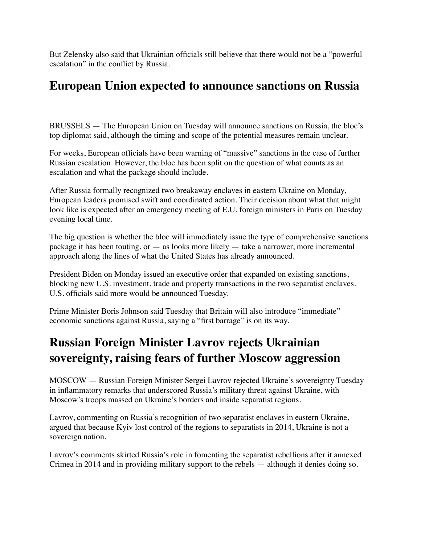But Zelensky also said that Ukrainian officials still believe that there would not be a "powerful escalation" in the conflict by Russia.

#### **European Union expected to announce sanctions on Russia**

BRUSSELS — The European Union on Tuesday will announce sanctions on Russia, the bloc's top diplomat said, although the timing and scope of the potential measures remain unclear.

For weeks, European officials have been warning of "massive" sanctions in the case of further Russian escalation. However, the bloc has been split on the question of what counts as an escalation and what the package should include.

After Russia formally recognized two breakaway enclaves in eastern Ukraine on Monday, European leaders promised swift and coordinated action. Their decision about what that might look like is expected after an emergency meeting of E.U. foreign ministers in Paris on Tuesday evening local time.

The big question is whether the bloc will immediately issue the type of comprehensive sanctions package it has been touting, or — as looks more likely — take a narrower, more incremental approach along the lines of what the United States has already announced.

President Biden on Monday issued an executive order that expanded on existing sanctions, blocking new U.S. investment, trade and property transactions in the two separatist enclaves. U.S. officials said more would be announced Tuesday.

Prime Minister Boris Johnson said Tuesday that Britain will also introduce "immediate" economic sanctions against Russia, saying a "first barrage" is on its way.

## **Russian Foreign Minister Lavrov rejects Ukrainian sovereignty, raising fears of further Moscow aggression**

MOSCOW — Russian Foreign Minister Sergei Lavrov rejected Ukraine's sovereignty Tuesday in inflammatory remarks that underscored Russia's military threat against Ukraine, with Moscow's troops massed on Ukraine's borders and inside separatist regions.

Lavrov, commenting on Russia's recognition of two separatist enclaves in eastern Ukraine, argued that because Kyiv lost control of the regions to separatists in 2014, Ukraine is not a sovereign nation.

Lavrov's comments skirted Russia's role in fomenting the separatist rebellions after it annexed Crimea in 2014 and in providing military support to the rebels — although it denies doing so.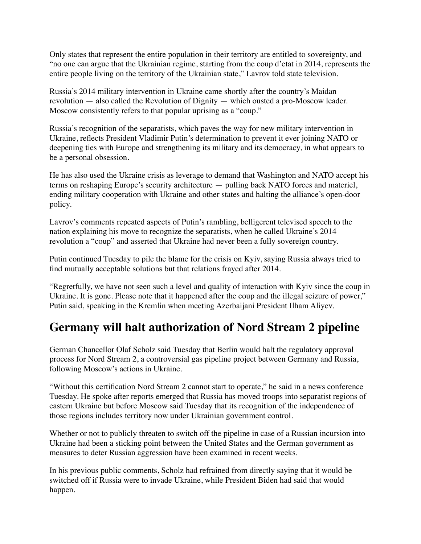Only states that represent the entire population in their territory are entitled to sovereignty, and "no one can argue that the Ukrainian regime, starting from the coup d'etat in 2014, represents the entire people living on the territory of the Ukrainian state," Lavrov told state television.

Russia's 2014 military intervention in Ukraine came shortly after the country's Maidan revolution — also called the Revolution of Dignity — which ousted a pro-Moscow leader. Moscow consistently refers to that popular uprising as a "coup."

Russia's recognition of the separatists, which paves the way for new military intervention in Ukraine, reflects President Vladimir Putin's determination to prevent it ever joining NATO or deepening ties with Europe and strengthening its military and its democracy, in what appears to be a personal obsession.

He has also used the Ukraine crisis as leverage to demand that Washington and NATO accept his terms on reshaping Europe's security architecture — pulling back NATO forces and materiel, ending military cooperation with Ukraine and other states and halting the alliance's open-door policy.

Lavrov's comments repeated aspects of Putin's rambling, belligerent televised speech to the nation explaining his move to recognize the separatists, when he called Ukraine's 2014 revolution a "coup" and asserted that Ukraine had never been a fully sovereign country.

Putin continued Tuesday to pile the blame for the crisis on Kyiv, saying Russia always tried to find mutually acceptable solutions but that relations frayed after 2014.

"Regretfully, we have not seen such a level and quality of interaction with Kyiv since the coup in Ukraine. It is gone. Please note that it happened after the coup and the illegal seizure of power," Putin said, speaking in the Kremlin when meeting Azerbaijani President Ilham Aliyev.

## **Germany will halt authorization of Nord Stream 2 pipeline**

German Chancellor Olaf Scholz said Tuesday that Berlin would halt the regulatory approval process for Nord Stream 2, a controversial gas pipeline project between Germany and Russia, following Moscow's actions in Ukraine.

"Without this certification Nord Stream 2 cannot start to operate," he said in a news conference Tuesday. He spoke after reports emerged that Russia has moved troops into separatist regions of eastern Ukraine but before Moscow said Tuesday that its recognition of the independence of those regions includes territory now under Ukrainian government control.

Whether or not to publicly threaten to switch off the pipeline in case of a Russian incursion into Ukraine had been a sticking point between the United States and the German government as measures to deter Russian aggression have been examined in recent weeks.

In his previous public comments, Scholz had refrained from directly saying that it would be switched off if Russia were to invade Ukraine, while President Biden had said that would happen.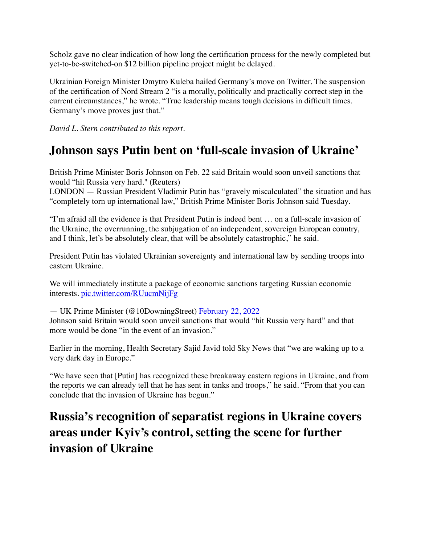Scholz gave no clear indication of how long the certification process for the newly completed but yet-to-be-switched-on \$12 billion pipeline project might be delayed.

Ukrainian Foreign Minister Dmytro Kuleba hailed Germany's move on Twitter. The suspension of the certification of Nord Stream 2 "is a morally, politically and practically correct step in the current circumstances," he wrote. "True leadership means tough decisions in difficult times. Germany's move proves just that."

*David L. Stern contributed to this report.*

#### **Johnson says Putin bent on 'full-scale invasion of Ukraine'**

British Prime Minister Boris Johnson on Feb. 22 said Britain would soon unveil sanctions that would "hit Russia very hard." (Reuters)

LONDON — Russian President Vladimir Putin has "gravely miscalculated" the situation and has "completely torn up international law," British Prime Minister Boris Johnson said Tuesday.

"I'm afraid all the evidence is that President Putin is indeed bent … on a full-scale invasion of the Ukraine, the overrunning, the subjugation of an independent, sovereign European country, and I think, let's be absolutely clear, that will be absolutely catastrophic," he said.

President Putin has violated Ukrainian sovereignty and international law by sending troops into eastern Ukraine.

We will immediately institute a package of economic sanctions targeting Russian economic interests. [pic.twitter.com/RUucmNijFg](https://t.co/RUucmNijFg)

— UK Prime Minister (@10DowningStreet) [February 22, 2022](https://twitter.com/10DowningStreet/status/1496076742905245698?ref_src=twsrc%5Etfw) Johnson said Britain would soon unveil sanctions that would "hit Russia very hard" and that more would be done "in the event of an invasion."

Earlier in the morning, Health Secretary Sajid Javid told Sky News that "we are waking up to a very dark day in Europe."

"We have seen that [Putin] has recognized these breakaway eastern regions in Ukraine, and from the reports we can already tell that he has sent in tanks and troops," he said. "From that you can conclude that the invasion of Ukraine has begun."

# **Russia's recognition of separatist regions in Ukraine covers areas under Kyiv's control, setting the scene for further invasion of Ukraine**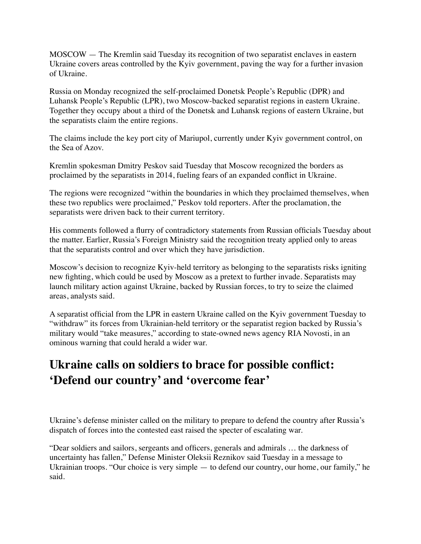MOSCOW — The Kremlin said Tuesday its recognition of two separatist enclaves in eastern Ukraine covers areas controlled by the Kyiv government, paving the way for a further invasion of Ukraine.

Russia on Monday recognized the self-proclaimed Donetsk People's Republic (DPR) and Luhansk People's Republic (LPR), two Moscow-backed separatist regions in eastern Ukraine. Together they occupy about a third of the Donetsk and Luhansk regions of eastern Ukraine, but the separatists claim the entire regions.

The claims include the key port city of Mariupol, currently under Kyiv government control, on the Sea of Azov.

Kremlin spokesman Dmitry Peskov said Tuesday that Moscow recognized the borders as proclaimed by the separatists in 2014, fueling fears of an expanded conflict in Ukraine.

The regions were recognized "within the boundaries in which they proclaimed themselves, when these two republics were proclaimed," Peskov told reporters. After the proclamation, the separatists were driven back to their current territory.

His comments followed a flurry of contradictory statements from Russian officials Tuesday about the matter. Earlier, Russia's Foreign Ministry said the recognition treaty applied only to areas that the separatists control and over which they have jurisdiction.

Moscow's decision to recognize Kyiv-held territory as belonging to the separatists risks igniting new fighting, which could be used by Moscow as a pretext to further invade. Separatists may launch military action against Ukraine, backed by Russian forces, to try to seize the claimed areas, analysts said.

A separatist official from the LPR in eastern Ukraine called on the Kyiv government Tuesday to "withdraw" its forces from Ukrainian-held territory or the separatist region backed by Russia's military would "take measures," according to state-owned news agency RIA Novosti, in an ominous warning that could herald a wider war.

# **Ukraine calls on soldiers to brace for possible conflict: 'Defend our country' and 'overcome fear'**

Ukraine's defense minister called on the military to prepare to defend the country after Russia's dispatch of forces into the contested east raised the specter of escalating war.

"Dear soldiers and sailors, sergeants and officers, generals and admirals … the darkness of uncertainty has fallen," Defense Minister Oleksii Reznikov said Tuesday in a message to Ukrainian troops. "Our choice is very simple — to defend our country, our home, our family," he said.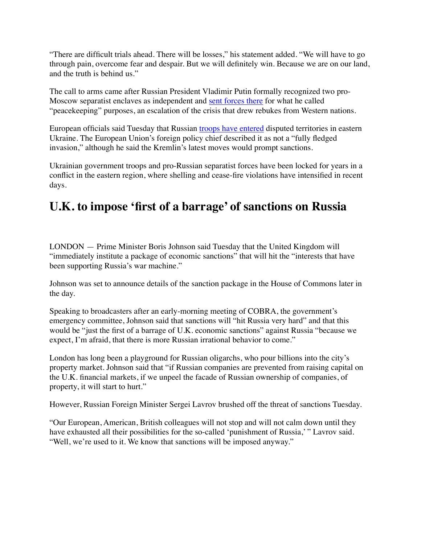"There are difficult trials ahead. There will be losses," his statement added. "We will have to go through pain, overcome fear and despair. But we will definitely win. Because we are on our land, and the truth is behind us."

The call to arms came after Russian President Vladimir Putin formally recognized two pro-Moscow separatist enclaves as independent and [sent forces there](https://www.washingtonpost.com/world/2022/02/22/russia-ukraine-updates/#link-RCYUCISGB5B5JK4KZZTXDJFGRQ?itid=lk_inline_manual_35&itid=lk_inline_manual_100) for what he called "peacekeeping" purposes, an escalation of the crisis that drew rebukes from Western nations.

European officials said Tuesday that Russian [troops have entered](https://www.washingtonpost.com/world/2022/02/22/russia-ukraine-updates/#link-KDTQH5PXSRCQPNMXVIZEBOCCBU?itid=lk_inline_manual_4&itid=lk_inline_manual_101) disputed territories in eastern Ukraine. The European Union's foreign policy chief described it as not a "fully fledged invasion," although he said the Kremlin's latest moves would prompt sanctions.

Ukrainian government troops and pro-Russian separatist forces have been locked for years in a conflict in the eastern region, where shelling and cease-fire violations have intensified in recent days.

#### **U.K. to impose 'first of a barrage' of sanctions on Russia**

LONDON — Prime Minister Boris Johnson said Tuesday that the United Kingdom will "immediately institute a package of economic sanctions" that will hit the "interests that have been supporting Russia's war machine."

Johnson was set to announce details of the sanction package in the House of Commons later in the day.

Speaking to broadcasters after an early-morning meeting of COBRA, the government's emergency committee, Johnson said that sanctions will "hit Russia very hard" and that this would be "just the first of a barrage of U.K. economic sanctions" against Russia "because we expect, I'm afraid, that there is more Russian irrational behavior to come."

London has long been a playground for Russian oligarchs, who pour billions into the city's property market. Johnson said that "if Russian companies are prevented from raising capital on the U.K. financial markets, if we unpeel the facade of Russian ownership of companies, of property, it will start to hurt."

However, Russian Foreign Minister Sergei Lavrov brushed off the threat of sanctions Tuesday.

"Our European, American, British colleagues will not stop and will not calm down until they have exhausted all their possibilities for the so-called 'punishment of Russia,' " Lavrov said. "Well, we're used to it. We know that sanctions will be imposed anyway."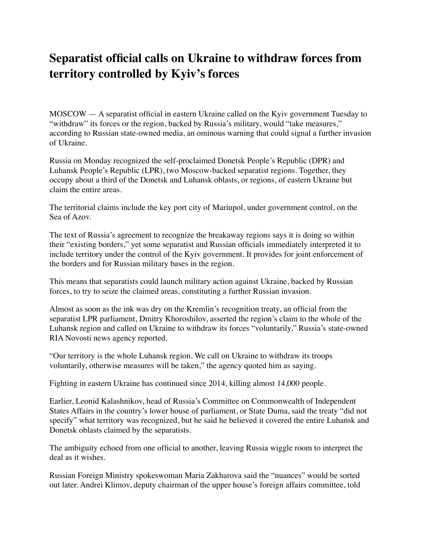# **Separatist official calls on Ukraine to withdraw forces from territory controlled by Kyiv's forces**

MOSCOW — A separatist official in eastern Ukraine called on the Kyiv government Tuesday to "withdraw" its forces or the region, backed by Russia's military, would "take measures," according to Russian state-owned media, an ominous warning that could signal a further invasion of Ukraine.

Russia on Monday recognized the self-proclaimed Donetsk People's Republic (DPR) and Luhansk People's Republic (LPR), two Moscow-backed separatist regions. Together, they occupy about a third of the Donetsk and Luhansk oblasts, or regions, of eastern Ukraine but claim the entire areas.

The territorial claims include the key port city of Mariupol, under government control, on the Sea of Azov.

The text of Russia's agreement to recognize the breakaway regions says it is doing so within their "existing borders," yet some separatist and Russian officials immediately interpreted it to include territory under the control of the Kyiv government. It provides for joint enforcement of the borders and for Russian military bases in the region.

This means that separatists could launch military action against Ukraine, backed by Russian forces, to try to seize the claimed areas, constituting a further Russian invasion.

Almost as soon as the ink was dry on the Kremlin's recognition treaty, an official from the separatist LPR parliament, Dmitry Khoroshilov, asserted the region's claim to the whole of the Luhansk region and called on Ukraine to withdraw its forces "voluntarily," Russia's state-owned RIA Novosti news agency reported.

"Our territory is the whole Luhansk region. We call on Ukraine to withdraw its troops voluntarily, otherwise measures will be taken," the agency quoted him as saying.

Fighting in eastern Ukraine has continued since 2014, killing almost 14,000 people.

Earlier, Leonid Kalashnikov, head of Russia's Committee on Commonwealth of Independent States Affairs in the country's lower house of parliament, or State Duma, said the treaty "did not specify" what territory was recognized, but he said he believed it covered the entire Luhansk and Donetsk oblasts claimed by the separatists.

The ambiguity echoed from one official to another, leaving Russia wiggle room to interpret the deal as it wishes.

Russian Foreign Ministry spokeswoman Maria Zakharova said the "nuances" would be sorted out later. Andrei Klimov, deputy chairman of the upper house's foreign affairs committee, told